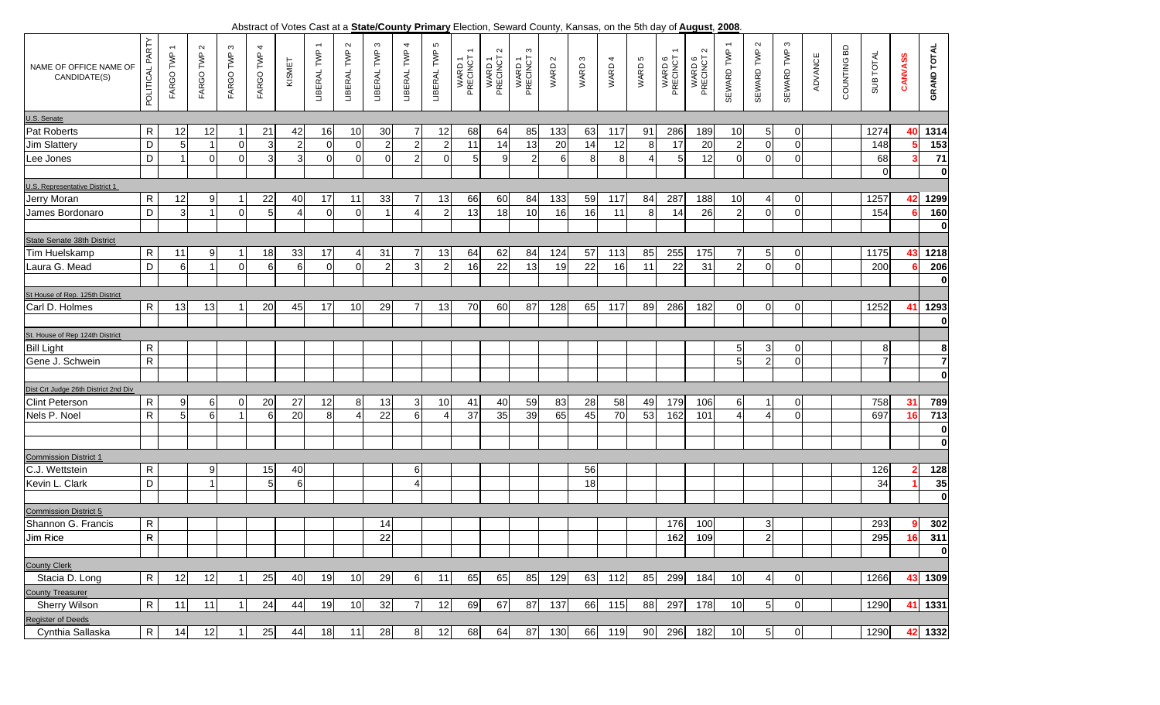, **2008**. Abstract of Votes Cast at a **State/County Primary** Election, Seward County, Kansas, on the 5th day of **August**

| NAME OF OFFICE NAME OF<br>CANDIDATE(S) | PARTY<br><b>POLITICAL</b> | FARGO TWP | FARGO TWP 2    | ო<br>FARGO TWP | FARGO TWP 4 | KISMET         | $\overline{\phantom{0}}$<br>LIBERAL TWP | LIBERAL TWP 2 | LIBERAL TWP 3  | 4<br>LIBERAL TWP      | 5<br>LIBERAL TWP | WARD 1<br>PRECINCT | $\sim$<br>WARD 1<br>PRECINCT | ო<br>WARD 1<br>PRECINCT | WARD 2           | WARD 3 | WARD 4 | WARD 5 | $\overline{\phantom{m}}$<br>WARD 6<br>PRECINCT | $\sim$<br>WARD 6<br>PRECINCT | SEWARD TWP 1             | SEWARD TWP 2   | SEWARD TWP 3   | ADVANCE | COUNTING BD | SUB TOTAL      | CANVASS | <b>GRAND TOTAL</b>      |
|----------------------------------------|---------------------------|-----------|----------------|----------------|-------------|----------------|-----------------------------------------|---------------|----------------|-----------------------|------------------|--------------------|------------------------------|-------------------------|------------------|--------|--------|--------|------------------------------------------------|------------------------------|--------------------------|----------------|----------------|---------|-------------|----------------|---------|-------------------------|
| U.S. Senate                            |                           |           |                |                |             |                |                                         |               |                |                       |                  |                    |                              |                         |                  |        |        |        |                                                |                              |                          |                |                |         |             |                |         |                         |
| <b>Pat Roberts</b>                     | R                         | 12        | 12             |                | 21          | 42             | 16                                      | 10            | 30             | 7                     | 12               | 68                 | 64                           | 85                      | 133              | 63     | 117    | 91     | 286                                            | 189                          | 10                       | 5 <sub>l</sub> | $\Omega$       |         |             | 1274           | 40      | 1314                    |
| Jim Slattery                           | D                         | 5         |                | $\Omega$       | 3           | $\overline{2}$ | $\overline{0}$                          | $\Omega$      | $\sqrt{2}$     | $\overline{2}$        | $\overline{2}$   | 11                 | 14                           | 13                      | 20               | 14     | 12     | 8      | 17                                             | 20                           | $\overline{2}$           | $\Omega$       | $\Omega$       |         |             | 148            |         | 153                     |
| Lee Jones                              | D                         |           | $\overline{0}$ | $\Omega$       | 3           | 3              | $\Omega$                                | $\Omega$      | $\Omega$       | $\overline{2}$        | $\Omega$         | 5                  | 9                            | $\overline{2}$          | $6 \overline{6}$ | 8      | 8      |        | 5                                              | 12                           | $\mathbf 0$              | $\Omega$       | $\Omega$       |         |             | 68             |         | $\overline{71}$         |
|                                        |                           |           |                |                |             |                |                                         |               |                |                       |                  |                    |                              |                         |                  |        |        |        |                                                |                              |                          |                |                |         |             | $\overline{0}$ |         | $\mathbf 0$             |
| U.S. Representative District 1         |                           |           |                |                |             |                |                                         |               |                |                       |                  |                    |                              |                         |                  |        |        |        |                                                |                              |                          |                |                |         |             |                |         |                         |
| Jerry Moran                            | ${\sf R}$                 | 12        | 9              |                | 22          | 40             | 17                                      | 11            | 33             |                       | 13               | 66                 | 60                           | 84                      | 133              | 59     | 117    | 84     | 287                                            | 188                          | 10                       | 4              |                |         |             | 1257           | 42      | 1299                    |
| James Bordonaro                        | D                         | 3         | 1              | $\Omega$       | 5           |                | $\Omega$                                | $\Omega$      |                | $\boldsymbol{\Delta}$ | $\overline{2}$   | 13                 | 18                           | 10                      | 16               | 16     | 11     | 8      | 14                                             | 26                           | $\overline{2}$           | $\Omega$       | $\Omega$       |         |             | 154            |         | 160                     |
|                                        |                           |           |                |                |             |                |                                         |               |                |                       |                  |                    |                              |                         |                  |        |        |        |                                                |                              |                          |                |                |         |             |                |         | $\mathbf 0$             |
| State Senate 38th District             |                           |           |                |                |             |                |                                         |               |                |                       |                  |                    |                              |                         |                  |        |        |        |                                                |                              |                          |                |                |         |             |                |         |                         |
| Tim Huelskamp                          | R                         | 11        | 9              |                | 18          | 33             | 17                                      |               | 31             | 7                     | 13               | 64                 | 62                           | 84                      | 124              | 57     | 113    | 85     | 255                                            | 175                          | 7                        | 5 <sub>l</sub> |                |         |             | 1175           | 43      | 1218                    |
| Laura G. Mead                          | D                         | 6         | 1              | $\Omega$       | 6           | 6              | $\overline{0}$                          |               | $\overline{2}$ | 3                     | $\overline{2}$   | 16                 | 22                           | 13                      | 19               | 22     | 16     | 11     | 22                                             | 31                           | $\overline{2}$           | $\Omega$       | $\Omega$       |         |             | 200            |         | 206                     |
|                                        |                           |           |                |                |             |                |                                         |               |                |                       |                  |                    |                              |                         |                  |        |        |        |                                                |                              |                          |                |                |         |             |                |         | $\bf{0}$                |
| St House of Rep. 125th District        |                           |           |                |                |             |                |                                         |               |                |                       |                  |                    |                              |                         |                  |        |        |        |                                                |                              |                          |                |                |         |             |                |         |                         |
| Carl D. Holmes                         | $\mathsf{R}$              | 13        | 13             |                | 20          | 45             | 17                                      | 10            | 29             | 7                     | 13               | 70                 | 60                           | 87                      | 128              | 65     | 117    | 89     | 286                                            | 182                          | 0                        | $\overline{0}$ |                |         |             | 1252           | 41      | 1293                    |
|                                        |                           |           |                |                |             |                |                                         |               |                |                       |                  |                    |                              |                         |                  |        |        |        |                                                |                              |                          |                |                |         |             |                |         | $\boldsymbol{0}$        |
| St. House of Rep 124th District        |                           |           |                |                |             |                |                                         |               |                |                       |                  |                    |                              |                         |                  |        |        |        |                                                |                              |                          |                |                |         |             |                |         |                         |
| <b>Bill Light</b>                      | $\mathsf R$               |           |                |                |             |                |                                         |               |                |                       |                  |                    |                              |                         |                  |        |        |        |                                                |                              | 5                        | 3              | $\Omega$       |         |             | 8              |         | 8                       |
| Gene J. Schwein                        | $\overline{R}$            |           |                |                |             |                |                                         |               |                |                       |                  |                    |                              |                         |                  |        |        |        |                                                |                              | 5                        | $\overline{a}$ | $\Omega$       |         |             | $\overline{7}$ |         |                         |
|                                        |                           |           |                |                |             |                |                                         |               |                |                       |                  |                    |                              |                         |                  |        |        |        |                                                |                              |                          |                |                |         |             |                |         | $\overline{\mathbf{0}}$ |
| Dist Crt Judge 26th District 2nd Div   |                           |           |                |                |             |                |                                         |               |                |                       |                  |                    |                              |                         |                  |        |        |        |                                                |                              |                          |                |                |         |             |                |         |                         |
| <b>Clint Peterson</b>                  | R                         | 9         | 61             | O              | 20          | 27             | 12                                      | 8             | 13             | 3                     | 10               | 41                 | 40                           | 59                      | 83               | 28     | 58     | 49     | 179                                            | 106                          | 6                        |                | 0              |         |             | 758            | 31      | 789                     |
| Nels P. Noel                           | ${\sf R}$                 | 5         | $6 \mid$       |                | 6           | 20             | 8                                       |               | 22             | 6                     | 4                | 37                 | 35                           | 39                      | 65               | 45     | 70     | 53     | 162                                            | 101                          | $\boldsymbol{\varDelta}$ | Δ              | $\Omega$       |         |             | 697            | 16      | $\overline{713}$        |
|                                        |                           |           |                |                |             |                |                                         |               |                |                       |                  |                    |                              |                         |                  |        |        |        |                                                |                              |                          |                |                |         |             |                |         | $\boldsymbol{0}$        |
|                                        |                           |           |                |                |             |                |                                         |               |                |                       |                  |                    |                              |                         |                  |        |        |        |                                                |                              |                          |                |                |         |             |                |         | $\mathbf 0$             |
| <b>Commission District 1</b>           |                           |           |                |                |             |                |                                         |               |                |                       |                  |                    |                              |                         |                  |        |        |        |                                                |                              |                          |                |                |         |             |                |         |                         |
| C.J. Wettstein                         | R                         |           | 9              |                | 15          | 40             |                                         |               |                | 6                     |                  |                    |                              |                         |                  | 56     |        |        |                                                |                              |                          |                |                |         |             | 126            |         | 128                     |
| Kevin L. Clark                         | D                         |           |                |                | 5           | 6              |                                         |               |                | $\overline{4}$        |                  |                    |                              |                         |                  | 18     |        |        |                                                |                              |                          |                |                |         |             | 34             |         | 35                      |
|                                        |                           |           |                |                |             |                |                                         |               |                |                       |                  |                    |                              |                         |                  |        |        |        |                                                |                              |                          |                |                |         |             |                |         | $\mathbf 0$             |
| <b>Commission District 5</b>           |                           |           |                |                |             |                |                                         |               |                |                       |                  |                    |                              |                         |                  |        |        |        |                                                |                              |                          |                |                |         |             |                |         |                         |
| Shannon G. Francis                     | ${\sf R}$                 |           |                |                |             |                |                                         |               | 14             |                       |                  |                    |                              |                         |                  |        |        |        | 176                                            | 100                          |                          | 3              |                |         |             | 293            |         | 302                     |
| <b>Jim Rice</b>                        | $\overline{R}$            |           |                |                |             |                |                                         |               | 22             |                       |                  |                    |                              |                         |                  |        |        |        | 162                                            | 109                          |                          | $\overline{2}$ |                |         |             | 295            | 16      | 311                     |
|                                        |                           |           |                |                |             |                |                                         |               |                |                       |                  |                    |                              |                         |                  |        |        |        |                                                |                              |                          |                |                |         |             |                |         | $\mathbf{0}$            |
| <b>County Clerk</b>                    |                           |           |                |                |             |                |                                         |               |                |                       |                  |                    |                              |                         |                  |        |        |        |                                                |                              |                          |                |                |         |             |                |         |                         |
| Stacia D. Long                         | ${\sf R}$                 | 12        | 12             |                | 25          | 40             | 19                                      | 10            | 29             | 6                     | 11               | 65                 | 65                           | 85                      | 129              | 63     | 112    | 85     | 299                                            | 184                          | 10                       | $\overline{4}$ | $\Omega$       |         |             | 1266           | 43      | 1309                    |
| <b>County Treasurer</b>                |                           |           |                |                |             |                |                                         |               |                |                       |                  |                    |                              |                         |                  |        |        |        |                                                |                              |                          |                |                |         |             |                |         |                         |
| Sherry Wilson                          | $\mathsf{R}$              | 11        | 11             |                | 24          | 44             | 19                                      | 10            | 32             | $\overline{7}$        | 12               | 69                 | 67                           | 87                      | 137              | 66     | 115    | 88     | 297                                            | 178                          | 10                       | 5 <sub>l</sub> | $\mathbf 0$    |         |             | 1290           |         | 41 1331                 |
| <b>Register of Deeds</b>               |                           |           |                |                |             |                |                                         |               |                |                       |                  |                    |                              |                         |                  |        |        |        |                                                |                              |                          |                |                |         |             |                |         |                         |
| Cynthia Sallaska                       | $\mathsf{R}$              | 14        | 12             |                | 25          | 44             | 18                                      | 11            | 28             | 8 <sup>1</sup>        | 12               | 68                 | 64                           | 87                      | 130              |        | 66 119 | 90     | 296                                            | 182                          | 10                       | 5              | $\overline{0}$ |         |             | 1290           |         | 42 1332                 |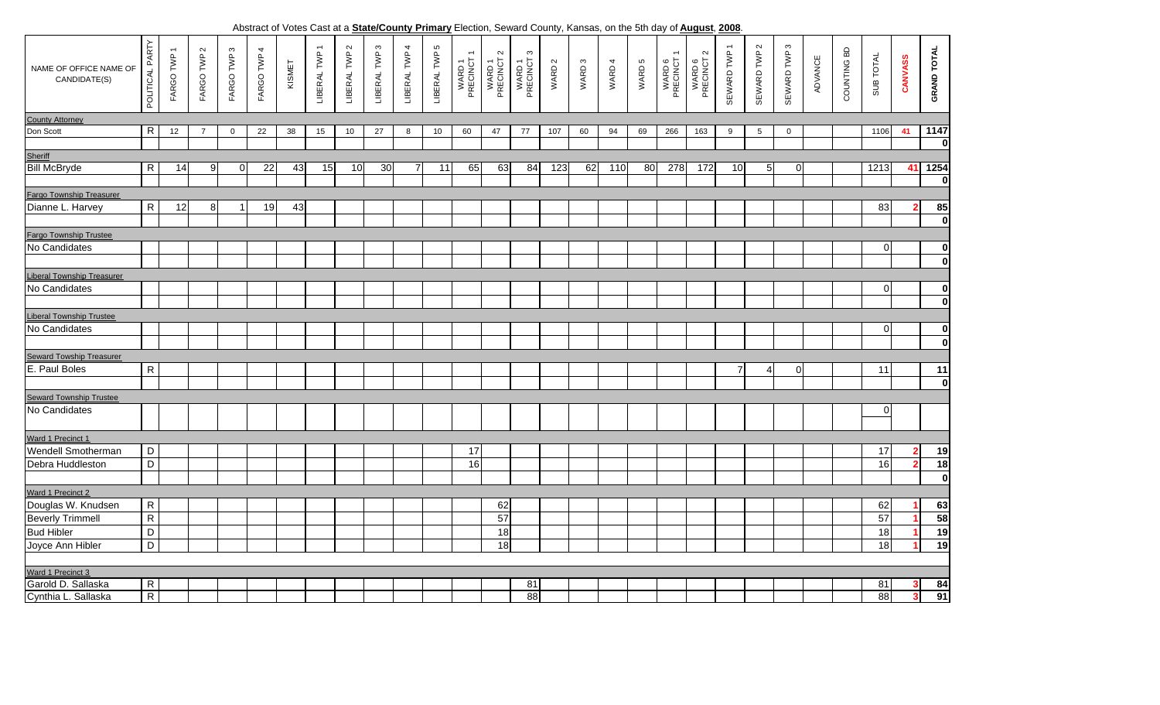, **2008**. Abstract of Votes Cast at a **State/County Primary** Election, Seward County, Kansas, on the 5th day of **August**

| NAME OF OFFICE NAME OF<br>CANDIDATE(S)    | POLITICAL PARTY | $\overline{\phantom{0}}$<br>FARGO TWP | $\sim$<br>FARGO TWP | FARGO TWP 3    | FARGO TWP 4 | KISMET | LIBERAL TWP 1 | LIBERAL TWP 2 | LIBERAL TWP 3 | LIBERAL TWP 4 | LIBERAL TWP 5 | $\overline{\phantom{a}}$<br>WARD 1<br>PRECINCT 1 | $\mathbf{\Omega}$<br>WARD 1<br>PRECINCT 2 | S<br>WARD 1<br>PRECINCT | WARD 2      | WARD <sub>3</sub> | WARD 4 | WARD 5 | WARD 6<br>PRECINCT 1 | $\sim$<br>WARD 6<br>PRECINCT 2 | SEWARD TWP 1 | SEWARD TWP 2    | SEWARD TWP 3 | ADVANCE | COUNTING BD | SUB TOTAL   | <b>CANVASS</b> | <b>GRAND TOTAL</b> |
|-------------------------------------------|-----------------|---------------------------------------|---------------------|----------------|-------------|--------|---------------|---------------|---------------|---------------|---------------|--------------------------------------------------|-------------------------------------------|-------------------------|-------------|-------------------|--------|--------|----------------------|--------------------------------|--------------|-----------------|--------------|---------|-------------|-------------|----------------|--------------------|
| <b>County Attorney</b>                    |                 |                                       |                     |                |             |        |               |               |               |               |               |                                                  |                                           |                         |             |                   |        |        |                      |                                |              |                 |              |         |             |             |                |                    |
| Don Scott                                 | $\mathsf{R}$    | 12                                    | $\overline{7}$      | $\mathbf 0$    | 22          | 38     | 15            | 10            | 27            | 8             | 10            | 60                                               | 47                                        | 77                      | 107         | 60                | 94     | 69     | 266                  | 163                            | 9            | $5\overline{)}$ | $\mathbf 0$  |         |             | 1106        | 41             | 1147               |
|                                           |                 |                                       |                     |                |             |        |               |               |               |               |               |                                                  |                                           |                         |             |                   |        |        |                      |                                |              |                 |              |         |             |             |                | $\mathbf 0$        |
| Sheriff<br>Bill McBryde                   |                 |                                       |                     |                |             |        |               |               |               |               |               |                                                  |                                           |                         |             |                   |        |        |                      |                                |              |                 |              |         |             |             |                |                    |
|                                           | R               | 14                                    | 9                   | $\overline{0}$ | 22          | 43     | 15            | 10            | 30            |               | 11            | 65                                               | 63                                        | 84                      | 123         | 62                | 110    | 80     | 278                  | 172                            | 10           | 5               | 0            |         |             | 1213        | -41            | 1254               |
| <b>Fargo Township Treasurer</b>           |                 |                                       |                     |                |             |        |               |               |               |               |               |                                                  |                                           |                         | $\mathbf 0$ |                   |        |        |                      |                                |              |                 |              |         |             |             |                |                    |
|                                           |                 |                                       |                     |                |             |        |               |               |               |               |               |                                                  |                                           |                         |             |                   |        |        |                      |                                |              |                 |              |         |             |             |                |                    |
| Dianne L. Harvey                          | $\mathsf{R}$    | 12                                    | 8                   | 1              | 19          | 43     |               |               |               |               |               |                                                  |                                           |                         |             |                   |        |        |                      |                                |              |                 |              |         |             | 83          |                | 85                 |
|                                           |                 |                                       |                     |                |             |        |               |               |               |               |               |                                                  |                                           |                         |             |                   |        |        |                      |                                |              |                 |              |         |             |             |                | $\mathbf 0$        |
| Fargo Township Trustee                    |                 |                                       |                     |                |             |        |               |               |               |               |               |                                                  |                                           |                         |             |                   |        |        |                      |                                |              |                 |              |         |             |             |                |                    |
| No Candidates                             |                 |                                       |                     |                |             |        |               |               |               |               |               |                                                  |                                           |                         |             |                   |        |        |                      |                                |              |                 |              |         |             | $\mathbf 0$ |                | $\bf{0}$           |
|                                           |                 |                                       |                     |                |             |        |               |               |               |               |               |                                                  |                                           |                         |             |                   |        |        |                      |                                |              |                 |              |         |             |             |                | $\mathbf{0}$       |
| Liberal Township Treasurer                |                 |                                       |                     |                |             |        |               |               |               |               |               |                                                  |                                           |                         |             |                   |        |        |                      |                                |              |                 |              |         |             |             |                |                    |
| No Candidates                             |                 |                                       |                     |                |             |        |               |               |               |               |               |                                                  |                                           |                         |             |                   |        |        |                      |                                |              |                 |              |         |             | $\mathbf 0$ |                | $\mathbf 0$        |
|                                           |                 |                                       |                     |                |             |        |               |               |               |               |               |                                                  |                                           |                         |             |                   |        |        |                      |                                |              |                 |              |         |             |             |                | $\mathbf{0}$       |
| <b>Liberal Township Trustee</b>           |                 |                                       |                     |                |             |        |               |               |               |               |               |                                                  |                                           |                         |             |                   |        |        |                      |                                |              |                 |              |         |             |             |                |                    |
| No Candidates                             |                 |                                       |                     |                |             |        |               |               |               |               |               |                                                  |                                           |                         |             |                   |        |        |                      |                                |              |                 |              |         |             | $\mathbf 0$ |                | $\mathbf 0$        |
|                                           |                 |                                       |                     |                |             |        |               |               |               |               |               |                                                  |                                           |                         |             |                   |        |        |                      |                                |              |                 |              |         |             |             |                | $\mathbf 0$        |
|                                           |                 |                                       |                     |                |             |        |               |               |               |               |               |                                                  |                                           |                         |             |                   |        |        |                      |                                |              |                 |              |         |             |             |                |                    |
| Seward Towship Treasurer<br>E. Paul Boles | $\mathsf{R}$    |                                       |                     |                |             |        |               |               |               |               |               |                                                  |                                           |                         |             |                   |        |        |                      |                                | 7            | $\overline{4}$  | $\mathbf{0}$ |         |             | 11          |                | 11                 |
|                                           |                 |                                       |                     |                |             |        |               |               |               |               |               |                                                  |                                           |                         |             |                   |        |        |                      |                                |              |                 |              |         |             |             |                | $\mathbf 0$        |
| Seward Township Trustee                   |                 |                                       |                     |                |             |        |               |               |               |               |               |                                                  |                                           |                         |             |                   |        |        |                      |                                |              |                 |              |         |             |             |                |                    |
| No Candidates                             |                 |                                       |                     |                |             |        |               |               |               |               |               |                                                  |                                           |                         |             |                   |        |        |                      |                                |              |                 |              |         |             | 0           |                |                    |
|                                           |                 |                                       |                     |                |             |        |               |               |               |               |               |                                                  |                                           |                         |             |                   |        |        |                      |                                |              |                 |              |         |             |             |                |                    |
| Ward 1 Precinct 1                         |                 |                                       |                     |                |             |        |               |               |               |               |               |                                                  |                                           |                         |             |                   |        |        |                      |                                |              |                 |              |         |             |             |                |                    |
| Wendell Smotherman                        | D               |                                       |                     |                |             |        |               |               |               |               |               |                                                  |                                           |                         |             |                   |        |        |                      |                                |              |                 |              |         |             | 17          |                | 19                 |
| Debra Huddleston                          |                 |                                       |                     |                |             |        |               |               |               |               |               | 17                                               |                                           |                         |             |                   |        |        |                      |                                |              |                 |              |         |             |             |                |                    |
|                                           | $\mathsf D$     |                                       |                     |                |             |        |               |               |               |               |               | 16                                               |                                           |                         |             |                   |        |        |                      |                                |              |                 |              |         |             | 16          |                | 18                 |
|                                           |                 |                                       |                     |                |             |        |               |               |               |               |               |                                                  |                                           |                         |             |                   |        |        |                      |                                |              |                 |              |         |             |             |                | $\mathbf 0$        |
| Ward 1 Precinct 2                         |                 |                                       |                     |                |             |        |               |               |               |               |               |                                                  |                                           |                         |             |                   |        |        |                      |                                |              |                 |              |         |             |             |                |                    |
| Douglas W. Knudsen                        | ${\sf R}$       |                                       |                     |                |             |        |               |               |               |               |               |                                                  | 62                                        |                         |             |                   |        |        |                      |                                |              |                 |              |         |             | 62          |                | 63                 |
| <b>Beverly Trimmell</b>                   | ${\sf R}$       |                                       |                     |                |             |        |               |               |               |               |               |                                                  | 57                                        |                         |             |                   |        |        |                      |                                |              |                 |              |         |             | 57          |                | 58                 |
| <b>Bud Hibler</b>                         | $\overline{D}$  |                                       |                     |                |             |        |               |               |               |               |               |                                                  | 18                                        |                         |             |                   |        |        |                      |                                |              |                 |              |         |             | 18          |                | 19                 |
| Joyce Ann Hibler                          | $\overline{D}$  |                                       |                     |                |             |        |               |               |               |               |               |                                                  | 18                                        |                         |             |                   |        |        |                      |                                |              |                 |              |         |             | 18          |                | 19                 |
|                                           |                 |                                       |                     |                |             |        |               |               |               |               |               |                                                  |                                           |                         |             |                   |        |        |                      |                                |              |                 |              |         |             |             |                |                    |
| Ward 1 Precinct 3                         |                 |                                       |                     |                |             |        |               |               |               |               |               |                                                  |                                           |                         |             |                   |        |        |                      |                                |              |                 |              |         |             |             |                |                    |
| Garold D. Sallaska                        | $\overline{R}$  |                                       |                     |                |             |        |               |               |               |               |               |                                                  |                                           | 81                      |             |                   |        |        |                      |                                |              |                 |              |         |             | 81          | 3              | 84                 |
| Cynthia L. Sallaska                       | $\overline{R}$  |                                       |                     |                |             |        |               |               |               |               |               |                                                  |                                           | 88                      |             |                   |        |        |                      |                                |              |                 |              |         |             | 88          | 3              | $\overline{91}$    |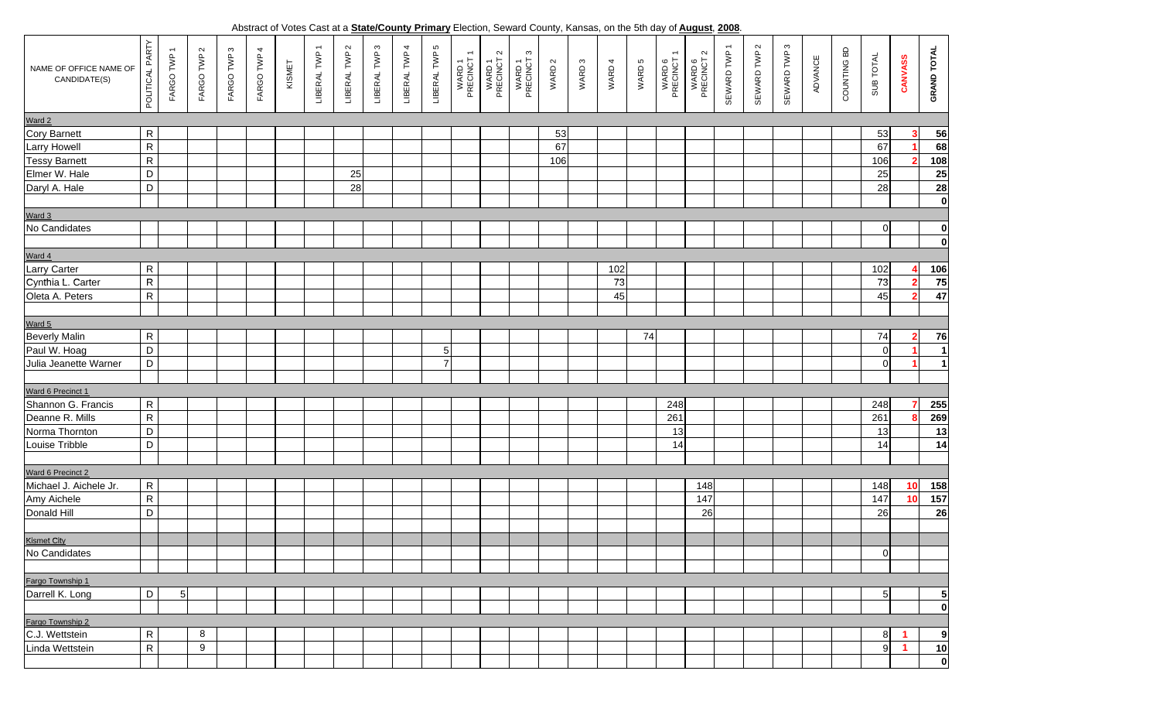, **2008**. Abstract of Votes Cast at a **State/County Primary** Election, Seward County, Kansas, on the 5th day of **August**

| NAME OF OFFICE NAME OF<br>CANDIDATE(S) | POLITICAL PARTY | $\overline{\phantom{0}}$<br>FARGO TWP | FARGO TWP 2 | FARGO TWP 3 | $\overline{4}$<br>FARGO TWP | KISMET | LIBERAL TWP 1 | LIBERAL TWP 2 | LIBERAL TWP 3 | LIBERAL TWP 4 | LIBERAL TWP 5  | $\overline{\phantom{0}}$<br>WARD 1<br>PRECINCT | $\sim$<br>WARD 1<br>PRECINCT | $\mathfrak{g}$<br>WARD 1<br>PRECINCT | WARD 2 | WARD <sub>3</sub> | WARD 4 | WARD 5 | $\overline{\phantom{m}}$<br>WARD 6<br>PRECINCT | $\sim$<br>WARD 6<br>PRECINCT 2 | SEWARD TWP 1 | SEWARD TWP 2 | SEWARD TWP 3 | ADVANCE | COUNTING BD | SUB TOTAL       | <b>CANVASS</b> | <b>GRAND TOTAL</b>                                                |
|----------------------------------------|-----------------|---------------------------------------|-------------|-------------|-----------------------------|--------|---------------|---------------|---------------|---------------|----------------|------------------------------------------------|------------------------------|--------------------------------------|--------|-------------------|--------|--------|------------------------------------------------|--------------------------------|--------------|--------------|--------------|---------|-------------|-----------------|----------------|-------------------------------------------------------------------|
| Ward 2                                 |                 |                                       |             |             |                             |        |               |               |               |               |                |                                                |                              |                                      |        |                   |        |        |                                                |                                |              |              |              |         |             |                 |                |                                                                   |
| Cory Barnett                           | $\mathsf{R}$    |                                       |             |             |                             |        |               |               |               |               |                |                                                |                              |                                      | 53     |                   |        |        |                                                |                                |              |              |              |         |             | 53              |                | 56                                                                |
| <b>Larry Howell</b>                    | ${\sf R}$       |                                       |             |             |                             |        |               |               |               |               |                |                                                |                              |                                      | 67     |                   |        |        |                                                |                                |              |              |              |         |             | 67              |                | 68                                                                |
| <b>Tessy Barnett</b>                   | ${\sf R}$       |                                       |             |             |                             |        |               |               |               |               |                |                                                |                              |                                      | 106    |                   |        |        |                                                |                                |              |              |              |         |             | 106             |                | 108                                                               |
| Elmer W. Hale                          | D               |                                       |             |             |                             |        |               | 25            |               |               |                |                                                |                              |                                      |        |                   |        |        |                                                |                                |              |              |              |         |             | 25              |                |                                                                   |
| Daryl A. Hale                          | D               |                                       |             |             |                             |        |               | 28            |               |               |                |                                                |                              |                                      |        |                   |        |        |                                                |                                |              |              |              |         |             | 28              |                | $\begin{array}{r} \hline 25 \\ \hline 28 \\ \hline 0 \end{array}$ |
|                                        |                 |                                       |             |             |                             |        |               |               |               |               |                |                                                |                              |                                      |        |                   |        |        |                                                |                                |              |              |              |         |             |                 |                |                                                                   |
| Ward 3                                 |                 |                                       |             |             |                             |        |               |               |               |               |                |                                                |                              |                                      |        |                   |        |        |                                                |                                |              |              |              |         |             |                 |                |                                                                   |
| No Candidates                          |                 |                                       |             |             |                             |        |               |               |               |               |                |                                                |                              |                                      |        |                   |        |        |                                                |                                |              |              |              |         |             | $\overline{0}$  |                | $\mathbf{0}$                                                      |
|                                        |                 |                                       |             |             |                             |        |               |               |               |               |                |                                                |                              |                                      |        |                   |        |        |                                                |                                |              |              |              |         |             |                 |                | $\overline{\mathbf{0}}$                                           |
| Ward 4                                 |                 |                                       |             |             |                             |        |               |               |               |               |                |                                                |                              |                                      |        |                   |        |        |                                                |                                |              |              |              |         |             |                 |                |                                                                   |
| <b>Larry Carter</b>                    | ${\sf R}$       |                                       |             |             |                             |        |               |               |               |               |                |                                                |                              |                                      |        |                   | 102    |        |                                                |                                |              |              |              |         |             | 102             |                | <u>106</u>                                                        |
| Cynthia L. Carter                      | ${\sf R}$       |                                       |             |             |                             |        |               |               |               |               |                |                                                |                              |                                      |        |                   | 73     |        |                                                |                                |              |              |              |         |             | 73              |                | 75                                                                |
| Oleta A. Peters                        | ${\sf R}$       |                                       |             |             |                             |        |               |               |               |               |                |                                                |                              |                                      |        |                   | 45     |        |                                                |                                |              |              |              |         |             | 45              |                | 47                                                                |
|                                        |                 |                                       |             |             |                             |        |               |               |               |               |                |                                                |                              |                                      |        |                   |        |        |                                                |                                |              |              |              |         |             |                 |                |                                                                   |
| Ward 5                                 |                 |                                       |             |             |                             |        |               |               |               |               |                |                                                |                              |                                      |        |                   |        |        |                                                |                                |              |              |              |         |             |                 |                |                                                                   |
| <b>Beverly Malin</b>                   | $\mathsf R$     |                                       |             |             |                             |        |               |               |               |               |                |                                                |                              |                                      |        |                   |        | 74     |                                                |                                |              |              |              |         |             | 74              |                | 76                                                                |
| Paul W. Hoag                           | D               |                                       |             |             |                             |        |               |               |               |               | 5 <sub>l</sub> |                                                |                              |                                      |        |                   |        |        |                                                |                                |              |              |              |         |             | $\overline{0}$  |                | $\mathbf{1}$                                                      |
| Julia Jeanette Warner                  | D               |                                       |             |             |                             |        |               |               |               |               | $\overline{7}$ |                                                |                              |                                      |        |                   |        |        |                                                |                                |              |              |              |         |             | $\overline{0}$  |                | $\mathbf{1}$                                                      |
|                                        |                 |                                       |             |             |                             |        |               |               |               |               |                |                                                |                              |                                      |        |                   |        |        |                                                |                                |              |              |              |         |             |                 |                |                                                                   |
| Ward 6 Precinct 1                      |                 |                                       |             |             |                             |        |               |               |               |               |                |                                                |                              |                                      |        |                   |        |        |                                                |                                |              |              |              |         |             |                 |                |                                                                   |
| Shannon G. Francis                     | ${\sf R}$       |                                       |             |             |                             |        |               |               |               |               |                |                                                |                              |                                      |        |                   |        |        | 248                                            |                                |              |              |              |         |             | 248             |                | 255                                                               |
| Deanne R. Mills                        | $\overline{R}$  |                                       |             |             |                             |        |               |               |               |               |                |                                                |                              |                                      |        |                   |        |        | 261                                            |                                |              |              |              |         |             | 261             |                | 269                                                               |
| Norma Thornton                         | $\mathsf D$     |                                       |             |             |                             |        |               |               |               |               |                |                                                |                              |                                      |        |                   |        |        | 13                                             |                                |              |              |              |         |             | 13              |                | 13                                                                |
| Louise Tribble                         | $\mathsf D$     |                                       |             |             |                             |        |               |               |               |               |                |                                                |                              |                                      |        |                   |        |        | 14                                             |                                |              |              |              |         |             | 14              |                | $\overline{14}$                                                   |
|                                        |                 |                                       |             |             |                             |        |               |               |               |               |                |                                                |                              |                                      |        |                   |        |        |                                                |                                |              |              |              |         |             |                 |                |                                                                   |
| Ward 6 Precinct 2                      |                 |                                       |             |             |                             |        |               |               |               |               |                |                                                |                              |                                      |        |                   |        |        |                                                |                                |              |              |              |         |             |                 |                |                                                                   |
| Michael J. Aichele Jr.                 | $\mathsf R$     |                                       |             |             |                             |        |               |               |               |               |                |                                                |                              |                                      |        |                   |        |        |                                                | 148                            |              |              |              |         |             | 148             | 10             | <b>158</b>                                                        |
| Amy Aichele                            | $\overline{R}$  |                                       |             |             |                             |        |               |               |               |               |                |                                                |                              |                                      |        |                   |        |        |                                                | 147                            |              |              |              |         |             | 147             | 10             | 157                                                               |
| Donald Hill                            | D               |                                       |             |             |                             |        |               |               |               |               |                |                                                |                              |                                      |        |                   |        |        |                                                | 26                             |              |              |              |         |             | 26              |                | $\overline{26}$                                                   |
|                                        |                 |                                       |             |             |                             |        |               |               |               |               |                |                                                |                              |                                      |        |                   |        |        |                                                |                                |              |              |              |         |             |                 |                |                                                                   |
| Kismet City                            |                 |                                       |             |             |                             |        |               |               |               |               |                |                                                |                              |                                      |        |                   |        |        |                                                |                                |              |              |              |         |             |                 |                |                                                                   |
| No Candidates                          |                 |                                       |             |             |                             |        |               |               |               |               |                |                                                |                              |                                      |        |                   |        |        |                                                |                                |              |              |              |         |             | $\overline{0}$  |                |                                                                   |
|                                        |                 |                                       |             |             |                             |        |               |               |               |               |                |                                                |                              |                                      |        |                   |        |        |                                                |                                |              |              |              |         |             |                 |                |                                                                   |
| Fargo Township 1                       |                 |                                       |             |             |                             |        |               |               |               |               |                |                                                |                              |                                      |        |                   |        |        |                                                |                                |              |              |              |         |             |                 |                |                                                                   |
| Darrell K. Long                        | D               | 5                                     |             |             |                             |        |               |               |               |               |                |                                                |                              |                                      |        |                   |        |        |                                                |                                |              |              |              |         |             | $5\overline{)}$ |                | 5                                                                 |
|                                        |                 |                                       |             |             |                             |        |               |               |               |               |                |                                                |                              |                                      |        |                   |        |        |                                                |                                |              |              |              |         |             |                 |                | $\bf{0}$                                                          |
| Fargo Township 2                       |                 |                                       |             |             |                             |        |               |               |               |               |                |                                                |                              |                                      |        |                   |        |        |                                                |                                |              |              |              |         |             |                 |                |                                                                   |
| C.J. Wettstein                         | ${\sf R}$       |                                       | 8           |             |                             |        |               |               |               |               |                |                                                |                              |                                      |        |                   |        |        |                                                |                                |              |              |              |         |             | 8               | -1             | 9                                                                 |
| Linda Wettstein                        | ${\sf R}$       |                                       | 9           |             |                             |        |               |               |               |               |                |                                                |                              |                                      |        |                   |        |        |                                                |                                |              |              |              |         |             | $\overline{9}$  | $\mathbf{1}$   | 10                                                                |
|                                        |                 |                                       |             |             |                             |        |               |               |               |               |                |                                                |                              |                                      |        |                   |        |        |                                                |                                |              |              |              |         |             |                 |                | $\overline{\mathbf{0}}$                                           |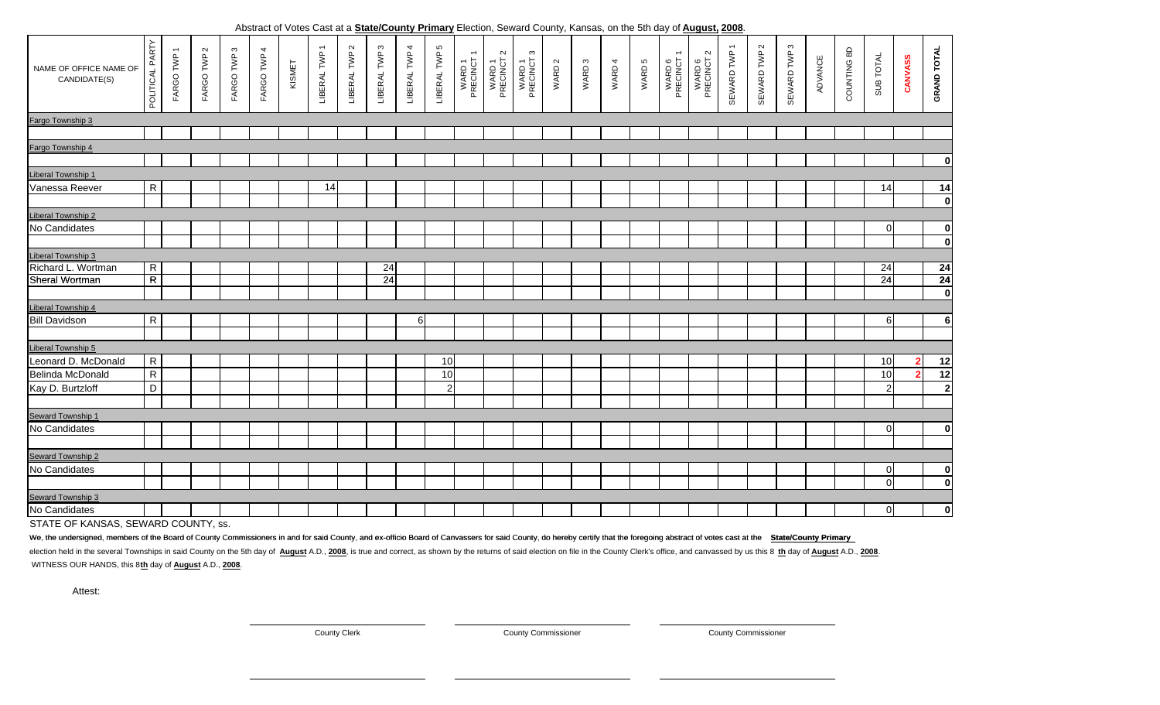**2008**. Abstract of Votes Cast at a **State/County Primary** Election, Seward County, Kansas, on the 5th day of **August,**

| NAME OF OFFICE NAME OF<br>CANDIDATE(S) | POLITICAL PARTY | $\overline{\phantom{m}}$<br>FARGO TWP | $\sim$<br>FARGO TWP | $\mathfrak{S}$<br>FARGO TWP | $\overline{4}$<br>FARGO TWP 4 | KISMET | LIBERAL TWP 1 | LIBERAL TWP 2 | ო<br>LIBERAL TWP | LIBERAL TWP 4 | LIBERAL TWP 5  | $\overline{\phantom{0}}$<br>WARD 1<br>PRECINCT | $\sim$<br>WARD 1<br>PRECINCT 2 | ო<br>WARD 1<br>PRECINCT | WARD 2 | WARD 3 | WARD 4 | WARD 5 | $\overline{\phantom{m}}$<br>WARD 6<br>PRECINCT | $\mathbf{\Omega}$<br>WARD 6<br>PRECINCT : | SEWARD TWP 1 | $\sim$<br>SEWARD TWP | SEWARD TWP 3 | ADVANCE | COUNTING BD | SUB TOTAL       | CANVASS        | <b>GRAND TOTAL</b>      |
|----------------------------------------|-----------------|---------------------------------------|---------------------|-----------------------------|-------------------------------|--------|---------------|---------------|------------------|---------------|----------------|------------------------------------------------|--------------------------------|-------------------------|--------|--------|--------|--------|------------------------------------------------|-------------------------------------------|--------------|----------------------|--------------|---------|-------------|-----------------|----------------|-------------------------|
| Fargo Township 3                       |                 |                                       |                     |                             |                               |        |               |               |                  |               |                |                                                |                                |                         |        |        |        |        |                                                |                                           |              |                      |              |         |             |                 |                |                         |
|                                        |                 |                                       |                     |                             |                               |        |               |               |                  |               |                |                                                |                                |                         |        |        |        |        |                                                |                                           |              |                      |              |         |             |                 |                |                         |
| Fargo Township 4                       |                 |                                       |                     |                             |                               |        |               |               |                  |               |                |                                                |                                |                         |        |        |        |        |                                                |                                           |              |                      |              |         |             |                 |                |                         |
|                                        |                 |                                       |                     |                             |                               |        |               |               |                  |               |                |                                                |                                |                         |        |        |        |        |                                                |                                           |              |                      |              |         |             |                 |                | $\mathbf 0$             |
| <b>Liberal Township 1</b>              |                 |                                       |                     |                             |                               |        |               |               |                  |               |                |                                                |                                |                         |        |        |        |        |                                                |                                           |              |                      |              |         |             |                 |                |                         |
| Vanessa Reever                         | ${\sf R}$       |                                       |                     |                             |                               |        | 14            |               |                  |               |                |                                                |                                |                         |        |        |        |        |                                                |                                           |              |                      |              |         |             | 14              |                | 14                      |
|                                        |                 |                                       |                     |                             |                               |        |               |               |                  |               |                |                                                |                                |                         |        |        |        |        |                                                |                                           |              |                      |              |         |             |                 |                | $\mathbf 0$             |
| Liberal Township 2                     |                 |                                       |                     |                             |                               |        |               |               |                  |               |                |                                                |                                |                         |        |        |        |        |                                                |                                           |              |                      |              |         |             |                 |                |                         |
| No Candidates                          |                 |                                       |                     |                             |                               |        |               |               |                  |               |                |                                                |                                |                         |        |        |        |        |                                                |                                           |              |                      |              |         |             | $\mathbf 0$     |                | $\mathbf 0$             |
|                                        |                 |                                       |                     |                             |                               |        |               |               |                  |               |                |                                                |                                |                         |        |        |        |        |                                                |                                           |              |                      |              |         |             |                 |                | $\mathbf 0$             |
| Liberal Township 3                     |                 |                                       |                     |                             |                               |        |               |               |                  |               |                |                                                |                                |                         |        |        |        |        |                                                |                                           |              |                      |              |         |             |                 |                |                         |
| Richard L. Wortman                     | $\overline{R}$  |                                       |                     |                             |                               |        |               |               | 24               |               |                |                                                |                                |                         |        |        |        |        |                                                |                                           |              |                      |              |         |             | 24              |                | 24                      |
| Sheral Wortman                         | $\overline{R}$  |                                       |                     |                             |                               |        |               |               | 24               |               |                |                                                |                                |                         |        |        |        |        |                                                |                                           |              |                      |              |         |             | $\overline{24}$ |                | 24                      |
|                                        |                 |                                       |                     |                             |                               |        |               |               |                  |               |                |                                                |                                |                         |        |        |        |        |                                                |                                           |              |                      |              |         |             |                 |                | $\overline{\mathbf{0}}$ |
| <b>Liberal Township 4</b>              |                 |                                       |                     |                             |                               |        |               |               |                  |               |                |                                                |                                |                         |        |        |        |        |                                                |                                           |              |                      |              |         |             |                 |                |                         |
| <b>Bill Davidson</b>                   | ${\sf R}$       |                                       |                     |                             |                               |        |               |               |                  | 6             |                |                                                |                                |                         |        |        |        |        |                                                |                                           |              |                      |              |         |             | 6               |                | 6                       |
|                                        |                 |                                       |                     |                             |                               |        |               |               |                  |               |                |                                                |                                |                         |        |        |        |        |                                                |                                           |              |                      |              |         |             |                 |                |                         |
| Liberal Township 5                     |                 |                                       |                     |                             |                               |        |               |               |                  |               |                |                                                |                                |                         |        |        |        |        |                                                |                                           |              |                      |              |         |             |                 |                |                         |
| Leonard D. McDonald                    | $\mathsf{R}$    |                                       |                     |                             |                               |        |               |               |                  |               | 10             |                                                |                                |                         |        |        |        |        |                                                |                                           |              |                      |              |         |             | 10              | 2              | 12                      |
| Belinda McDonald                       | ${\sf R}$       |                                       |                     |                             |                               |        |               |               |                  |               | 10             |                                                |                                |                         |        |        |        |        |                                                |                                           |              |                      |              |         |             | 10              | $\overline{ }$ | 12                      |
| Kay D. Burtzloff                       | D               |                                       |                     |                             |                               |        |               |               |                  |               | $\overline{2}$ |                                                |                                |                         |        |        |        |        |                                                |                                           |              |                      |              |         |             | $\overline{2}$  |                | $\overline{2}$          |
|                                        |                 |                                       |                     |                             |                               |        |               |               |                  |               |                |                                                |                                |                         |        |        |        |        |                                                |                                           |              |                      |              |         |             |                 |                |                         |
| Seward Township 1                      |                 |                                       |                     |                             |                               |        |               |               |                  |               |                |                                                |                                |                         |        |        |        |        |                                                |                                           |              |                      |              |         |             |                 |                |                         |
| No Candidates                          |                 |                                       |                     |                             |                               |        |               |               |                  |               |                |                                                |                                |                         |        |        |        |        |                                                |                                           |              |                      |              |         |             | $\mathbf 0$     |                | $\mathbf 0$             |
|                                        |                 |                                       |                     |                             |                               |        |               |               |                  |               |                |                                                |                                |                         |        |        |        |        |                                                |                                           |              |                      |              |         |             |                 |                |                         |
| Seward Township 2                      |                 |                                       |                     |                             |                               |        |               |               |                  |               |                |                                                |                                |                         |        |        |        |        |                                                |                                           |              |                      |              |         |             |                 |                |                         |
| No Candidates                          |                 |                                       |                     |                             |                               |        |               |               |                  |               |                |                                                |                                |                         |        |        |        |        |                                                |                                           |              |                      |              |         |             | $\mathbf 0$     |                | $\bf{0}$                |
|                                        |                 |                                       |                     |                             |                               |        |               |               |                  |               |                |                                                |                                |                         |        |        |        |        |                                                |                                           |              |                      |              |         |             | $\Omega$        |                | $\mathbf{0}$            |
| Seward Township 3                      |                 |                                       |                     |                             |                               |        |               |               |                  |               |                |                                                |                                |                         |        |        |        |        |                                                |                                           |              |                      |              |         |             |                 |                |                         |
| No Candidates                          |                 |                                       |                     |                             |                               |        |               |               |                  |               |                |                                                |                                |                         |        |        |        |        |                                                |                                           |              |                      |              |         |             | $\overline{0}$  |                | $\mathbf 0$             |
|                                        |                 |                                       |                     |                             |                               |        |               |               |                  |               |                |                                                |                                |                         |        |        |        |        |                                                |                                           |              |                      |              |         |             |                 |                |                         |

STATE OF KANSAS, SEWARD COUNTY, ss.

We, the undersigned, members of the Board of County Commissioners in and for said County, and ex-officio Board of Canvassers for said County, do hereby certify that the foregoing abstract of votes cast at the State/County

election held in the several Townships in said County on the 5th day of August A.D., 2008, is true and correct, as shown by the returns of said election on file in the County Clerk's office, and canvassed by us this 8 th d WITNESS OUR HANDS, this 8**th** day of **August** A.D., **2008**.

Attest:

County Clerk

County Commissioner

County Commissioner